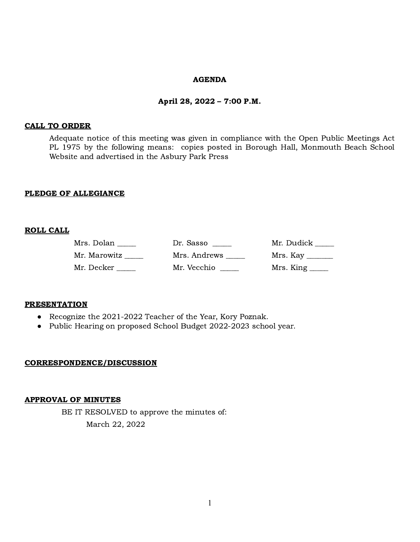#### AGENDA

#### April 28, 2022 – 7:00 P.M.

#### CALL TO ORDER

Adequate notice of this meeting was given in compliance with the Open Public Meetings Act PL 1975 by the following means: copies posted in Borough Hall, Monmouth Beach School Website and advertised in the Asbury Park Press

### PLEDGE OF ALLEGIANCE

### ROLL CALL

| Mrs. Dolan   | Dr. Sasso    | Mr. Dudick ____                   |
|--------------|--------------|-----------------------------------|
| Mr. Marowitz | Mrs. Andrews | Mrs. Kay                          |
| Mr. Decker   | Mr. Vecchio  | $Mrs.$ King $\_\_\_\_\_\_\_\_\_\$ |

#### **PRESENTATION**

- Recognize the 2021-2022 Teacher of the Year, Kory Poznak.
- Public Hearing on proposed School Budget 2022-2023 school year.

### CORRESPONDENCE/DISCUSSION

### APPROVAL OF MINUTES

BE IT RESOLVED to approve the minutes of: March 22, 2022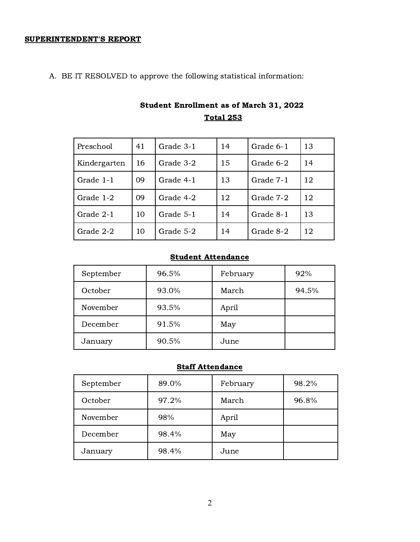# SUPERINTENDENT'S REPORT

A. BE IT RESOLVED to approve the following statistical information:

| Preschool    | 41 | Grade 3-1<br>Grade 6-1<br>14 |    | 13        |    |
|--------------|----|------------------------------|----|-----------|----|
| Kindergarten | 16 | Grade 3-2                    | 15 | Grade 6-2 | 14 |
| Grade 1-1    | 09 | Grade 4-1                    | 13 | Grade 7-1 | 12 |
| Grade 1-2    | 09 | Grade 4-2                    | 12 | Grade 7-2 | 12 |
| Grade 2-1    | 10 | Grade 5-1                    | 14 | Grade 8-1 | 13 |
| Grade 2-2    | 10 | Grade 5-2                    | 14 | Grade 8-2 | 12 |

# Student Enrollment as of March 31, 2022 Total 253

# Student Attendance

| September | 96.5% | February | 92%   |
|-----------|-------|----------|-------|
| October   | 93.0% | March    | 94.5% |
| November  | 93.5% | April    |       |
| December  | 91.5% | May      |       |
| January   | 90.5% | June     |       |

# **Staff Attendance**

| September | 89.0% | February | 98.2% |
|-----------|-------|----------|-------|
| October   | 97.2% | March    | 96.8% |
| November  | 98%   | April    |       |
| December  | 98.4% | May      |       |
| January   | 98.4% | June     |       |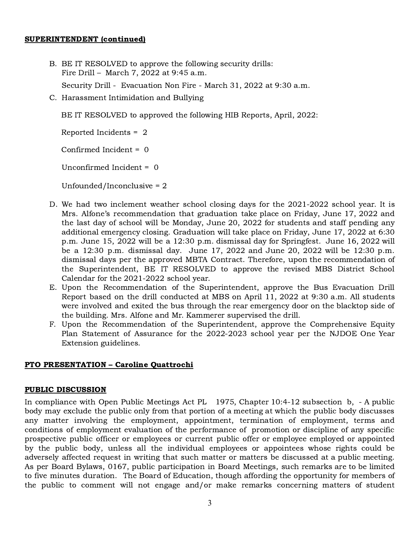### SUPERINTENDENT (continued)

- B. BE IT RESOLVED to approve the following security drills: Fire Drill – March 7, 2022 at 9:45 a.m. Security Drill - Evacuation Non Fire - March 31, 2022 at 9:30 a.m.
- C. Harassment Intimidation and Bullying

BE IT RESOLVED to approved the following HIB Reports, April, 2022:

Reported Incidents = 2

Confirmed Incident = 0

Unconfirmed Incident = 0

Unfounded/Inconclusive = 2

- D. We had two inclement weather school closing days for the 2021-2022 school year. It is Mrs. Alfone's recommendation that graduation take place on Friday, June 17, 2022 and the last day of school will be Monday, June 20, 2022 for students and staff pending any additional emergency closing. Graduation will take place on Friday, June 17, 2022 at 6:30 p.m. June 15, 2022 will be a 12:30 p.m. dismissal day for Springfest. June 16, 2022 will be a 12:30 p.m. dismissal day. June 17, 2022 and June 20, 2022 will be 12:30 p.m. dismissal days per the approved MBTA Contract. Therefore, upon the recommendation of the Superintendent, BE IT RESOLVED to approve the revised MBS District School Calendar for the 2021-2022 school year.
- E. Upon the Recommendation of the Superintendent, approve the Bus Evacuation Drill Report based on the drill conducted at MBS on April 11, 2022 at 9:30 a.m. All students were involved and exited the bus through the rear emergency door on the blacktop side of the building. Mrs. Alfone and Mr. Kammerer supervised the drill.
- F. Upon the Recommendation of the Superintendent, approve the Comprehensive Equity Plan Statement of Assurance for the 2022-2023 school year per the NJDOE One Year Extension guidelines.

# PTO PRESENTATION – Caroline Quattrochi

### PUBLIC DISCUSSION

In compliance with Open Public Meetings Act PL 1975, Chapter 10:4-12 subsection b, - A public body may exclude the public only from that portion of a meeting at which the public body discusses any matter involving the employment, appointment, termination of employment, terms and conditions of employment evaluation of the performance of promotion or discipline of any specific prospective public officer or employees or current public offer or employee employed or appointed by the public body, unless all the individual employees or appointees whose rights could be adversely affected request in writing that such matter or matters be discussed at a public meeting. As per Board Bylaws, 0167, public participation in Board Meetings, such remarks are to be limited to five minutes duration. The Board of Education, though affording the opportunity for members of the public to comment will not engage and/or make remarks concerning matters of student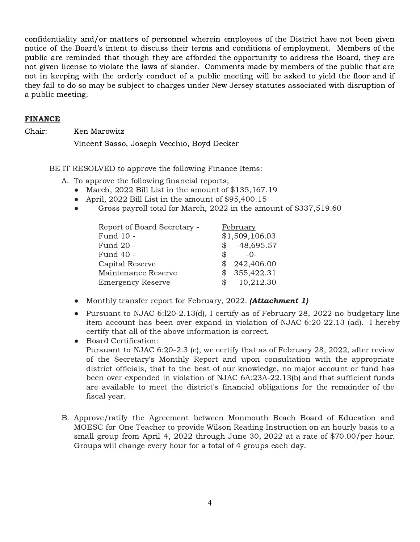confidentiality and/or matters of personnel wherein employees of the District have not been given notice of the Board's intent to discuss their terms and conditions of employment. Members of the public are reminded that though they are afforded the opportunity to address the Board, they are not given license to violate the laws of slander. Comments made by members of the public that are not in keeping with the orderly conduct of a public meeting will be asked to yield the floor and if they fail to do so may be subject to charges under New Jersey statutes associated with disruption of a public meeting.

### FINANCE

Chair: Ken Marowitz

Vincent Sasso, Joseph Vecchio, Boyd Decker

BE IT RESOLVED to approve the following Finance Items:

A. To approve the following financial reports;

- March, 2022 Bill List in the amount of \$135,167.19
- April, 2022 Bill List in the amount of \$95,400.15
- Gross payroll total for March, 2022 in the amount of \$337,519.60

| Report of Board Secretary - | <b>February</b>         |  |  |
|-----------------------------|-------------------------|--|--|
| Fund 10 -                   | \$1,509,106.03          |  |  |
| Fund 20 -                   | $$ -48,695.57$          |  |  |
| Fund 40 -                   | $-0-$<br>SS.            |  |  |
| Capital Reserve             | 242,406.00              |  |  |
| Maintenance Reserve         | \$355,422.31            |  |  |
| <b>Emergency Reserve</b>    | 10,212.30<br>$^{\circ}$ |  |  |

- Monthly transfer report for February, 2022. (**Attachment 1**)
- Pursuant to NJAC 6:120-2.13(d), I certify as of February 28, 2022 no budgetary line item account has been over-expand in violation of NJAC 6:20-22.13 (ad). I hereby certify that all of the above information is correct.
- Board Certification: Pursuant to NJAC 6:20-2.3 (e), we certify that as of February 28, 2022, after review of the Secretary's Monthly Report and upon consultation with the appropriate district officials, that to the best of our knowledge, no major account or fund has been over expended in violation of NJAC 6A:23A-22.13(b) and that sufficient funds are available to meet the district's financial obligations for the remainder of the fiscal year.
- B. Approve/ratify the Agreement between Monmouth Beach Board of Education and MOESC for One Teacher to provide Wilson Reading Instruction on an hourly basis to a small group from April 4, 2022 through June 30, 2022 at a rate of \$70.00/per hour. Groups will change every hour for a total of 4 groups each day.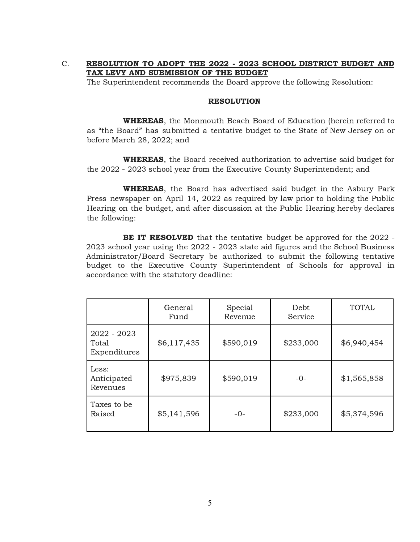# C. RESOLUTION TO ADOPT THE 2022 - 2023 SCHOOL DISTRICT BUDGET AND TAX LEVY AND SUBMISSION OF THE BUDGET

The Superintendent recommends the Board approve the following Resolution:

#### RESOLUTION

WHEREAS, the Monmouth Beach Board of Education (herein referred to as "the Board" has submitted a tentative budget to the State of New Jersey on or before March 28, 2022; and

WHEREAS, the Board received authorization to advertise said budget for the 2022 - 2023 school year from the Executive County Superintendent; and

WHEREAS, the Board has advertised said budget in the Asbury Park Press newspaper on April 14, 2022 as required by law prior to holding the Public Hearing on the budget, and after discussion at the Public Hearing hereby declares the following:

BE IT RESOLVED that the tentative budget be approved for the 2022 -2023 school year using the 2022 - 2023 state aid figures and the School Business Administrator/Board Secretary be authorized to submit the following tentative budget to the Executive County Superintendent of Schools for approval in accordance with the statutory deadline:

|                                      | General<br>Fund | Special<br>Revenue | Debt<br>Service | <b>TOTAL</b> |
|--------------------------------------|-----------------|--------------------|-----------------|--------------|
| 2022 - 2023<br>Total<br>Expenditures | \$6,117,435     | \$590,019          | \$233,000       | \$6,940,454  |
| Less:<br>Anticipated<br>Revenues     | \$975,839       | \$590,019          | $-0-$           | \$1,565,858  |
| Taxes to be<br>Raised                | \$5,141,596     | $-0-$              | \$233,000       | \$5,374,596  |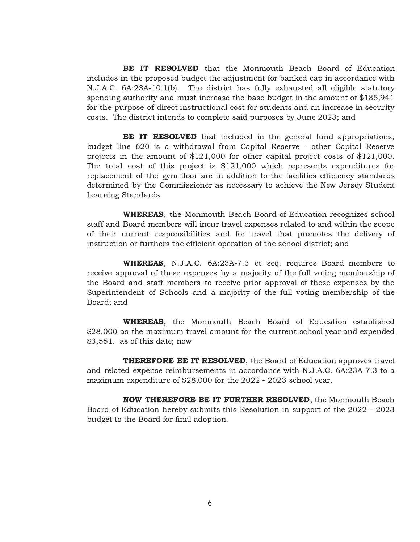BE IT RESOLVED that the Monmouth Beach Board of Education includes in the proposed budget the adjustment for banked cap in accordance with N.J.A.C. 6A:23A-10.1(b). The district has fully exhausted all eligible statutory spending authority and must increase the base budget in the amount of \$185,941 for the purpose of direct instructional cost for students and an increase in security costs. The district intends to complete said purposes by June 2023; and

**BE IT RESOLVED** that included in the general fund appropriations, budget line 620 is a withdrawal from Capital Reserve - other Capital Reserve projects in the amount of \$121,000 for other capital project costs of \$121,000. The total cost of this project is \$121,000 which represents expenditures for replacement of the gym floor are in addition to the facilities efficiency standards determined by the Commissioner as necessary to achieve the New Jersey Student Learning Standards.

WHEREAS, the Monmouth Beach Board of Education recognizes school staff and Board members will incur travel expenses related to and within the scope of their current responsibilities and for travel that promotes the delivery of instruction or furthers the efficient operation of the school district; and

WHEREAS, N.J.A.C. 6A:23A-7.3 et seq. requires Board members to receive approval of these expenses by a majority of the full voting membership of the Board and staff members to receive prior approval of these expenses by the Superintendent of Schools and a majority of the full voting membership of the Board; and

WHEREAS, the Monmouth Beach Board of Education established \$28,000 as the maximum travel amount for the current school year and expended \$3,551. as of this date; now

THEREFORE BE IT RESOLVED, the Board of Education approves travel and related expense reimbursements in accordance with N.J.A.C. 6A:23A-7.3 to a maximum expenditure of \$28,000 for the 2022 - 2023 school year,

NOW THEREFORE BE IT FURTHER RESOLVED, the Monmouth Beach Board of Education hereby submits this Resolution in support of the 2022 – 2023 budget to the Board for final adoption.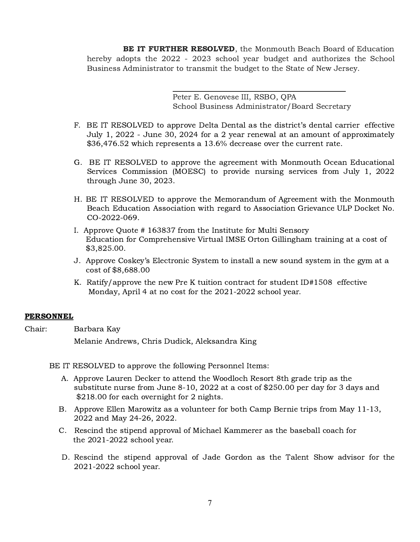BE IT FURTHER RESOLVED, the Monmouth Beach Board of Education hereby adopts the 2022 - 2023 school year budget and authorizes the School Business Administrator to transmit the budget to the State of New Jersey.

> Peter E. Genovese III, RSBO, QPA School Business Administrator/Board Secretary

- F. BE IT RESOLVED to approve Delta Dental as the district's dental carrier effective July 1, 2022 - June 30, 2024 for a 2 year renewal at an amount of approximately \$36,476.52 which represents a 13.6% decrease over the current rate.
- G. BE IT RESOLVED to approve the agreement with Monmouth Ocean Educational Services Commission (MOESC) to provide nursing services from July 1, 2022 through June 30, 2023.
- H. BE IT RESOLVED to approve the Memorandum of Agreement with the Monmouth Beach Education Association with regard to Association Grievance ULP Docket No. CO-2022-069.
- I. Approve Quote # 163837 from the Institute for Multi Sensory Education for Comprehensive Virtual IMSE Orton Gillingham training at a cost of \$3,825.00.
- J. Approve Coskey's Electronic System to install a new sound system in the gym at a cost of \$8,688.00
- K. Ratify/approve the new Pre K tuition contract for student ID#1508 effective Monday, April 4 at no cost for the 2021-2022 school year.

# **PERSONNEL**

Chair: Barbara Kay Melanie Andrews, Chris Dudick, Aleksandra King

BE IT RESOLVED to approve the following Personnel Items:

- A. Approve Lauren Decker to attend the Woodloch Resort 8th grade trip as the substitute nurse from June 8-10, 2022 at a cost of \$250.00 per day for 3 days and \$218.00 for each overnight for 2 nights.
- B. Approve Ellen Marowitz as a volunteer for both Camp Bernie trips from May 11-13, 2022 and May 24-26, 2022.
- C. Rescind the stipend approval of Michael Kammerer as the baseball coach for the 2021-2022 school year.
- D. Rescind the stipend approval of Jade Gordon as the Talent Show advisor for the 2021-2022 school year.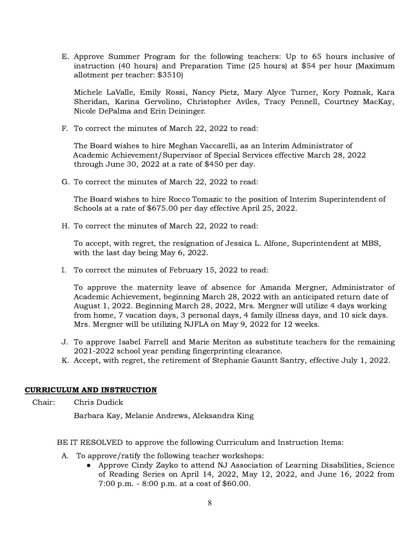E. Approve Summer Program for the following teachers: Up to 65 hours inclusive of instruction (40 hours) and Preparation Time (25 hours) at \$54 per hour (Maximum allotment per teacher: \$3510)

Michele LaValle, Emily Rossi, Nancy Pietz, Mary Alyce Turner, Kory Poznak, Kara Sheridan, Karina Gervolino, Christopher Aviles, Tracy Pennell, Courtney MacKay, Nicole DePalma and Erin Deininger.

F. To correct the minutes of March 22, 2022 to read:

The Board wishes to hire Meghan Vaccarelli, as an Interim Administrator of Academic Achievement/Supervisor of Special Services effective March 28, 2022 through June 30, 2022 at a rate of \$450 per day.

G. To correct the minutes of March 22, 2022 to read:

The Board wishes to hire Rocco Tomazic to the position of Interim Superintendent of Schools at a rate of \$675.00 per day effective April 25, 2022.

H. To correct the minutes of March 22, 2022 to read:

To accept, with regret, the resignation of Jessica L. Alfone, Superintendent at MBS, with the last day being May 6, 2022.

I. To correct the minutes of February 15, 2022 to read:

To approve the maternity leave of absence for Amanda Mergner, Administrator of Academic Achievement, beginning March 28, 2022 with an anticipated return date of August 1, 2022. Beginning March 28, 2022, Mrs. Mergner will utilize 4 days working from home, 7 vacation days, 3 personal days, 4 family illness days, and 10 sick days. Mrs. Mergner will be utilizing NJFLA on May 9, 2022 for 12 weeks.

- J. To approve Isabel Farrell and Marie Meriton as substitute teachers for the remaining 2021-2022 school year pending fingerprinting clearance.
- K. Accept, with regret, the retirement of Stephanie Gauntt Santry, effective July 1, 2022.

# CURRICULUM AND INSTRUCTION

Chair: Chris Dudick

Barbara Kay, Melanie Andrews, Aleksandra King

BE IT RESOLVED to approve the following Curriculum and Instruction Items:

- A. To approve/ratify the following teacher workshops:
	- Approve Cindy Zayko to attend NJ Association of Learning Disabilities, Science of Reading Series on April 14, 2022, May 12, 2022, and June 16, 2022 from 7:00 p.m. - 8:00 p.m. at a cost of \$60.00.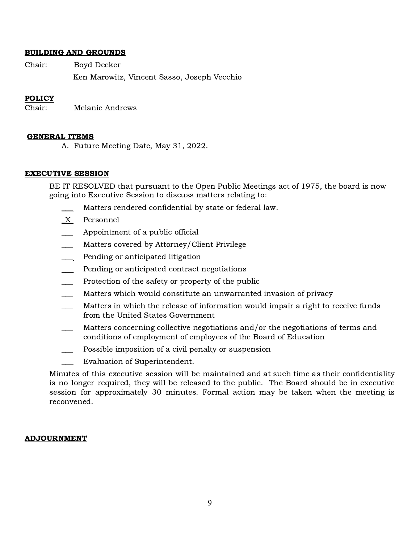### BUILDING AND GROUNDS

Chair: Boyd Decker Ken Marowitz, Vincent Sasso, Joseph Vecchio

### POLICY

Chair: Melanie Andrews

#### GENERAL ITEMS

A. Future Meeting Date, May 31, 2022.

#### EXECUTIVE SESSION

BE IT RESOLVED that pursuant to the Open Public Meetings act of 1975, the board is now going into Executive Session to discuss matters relating to:

- Matters rendered confidential by state or federal law.
- \_X Personnel
- Appointment of a public official
- Matters covered by Attorney/Client Privilege
- \_\_\_ Pending or anticipated litigation
- Pending or anticipated contract negotiations
- Protection of the safety or property of the public
- Matters which would constitute an unwarranted invasion of privacy
- Matters in which the release of information would impair a right to receive funds from the United States Government
- \_\_\_ Matters concerning collective negotiations and/or the negotiations of terms and conditions of employment of employees of the Board of Education
- \_\_\_ Possible imposition of a civil penalty or suspension
- Evaluation of Superintendent.

Minutes of this executive session will be maintained and at such time as their confidentiality is no longer required, they will be released to the public. The Board should be in executive session for approximately 30 minutes. Formal action may be taken when the meeting is reconvened.

### ADJOURNMENT